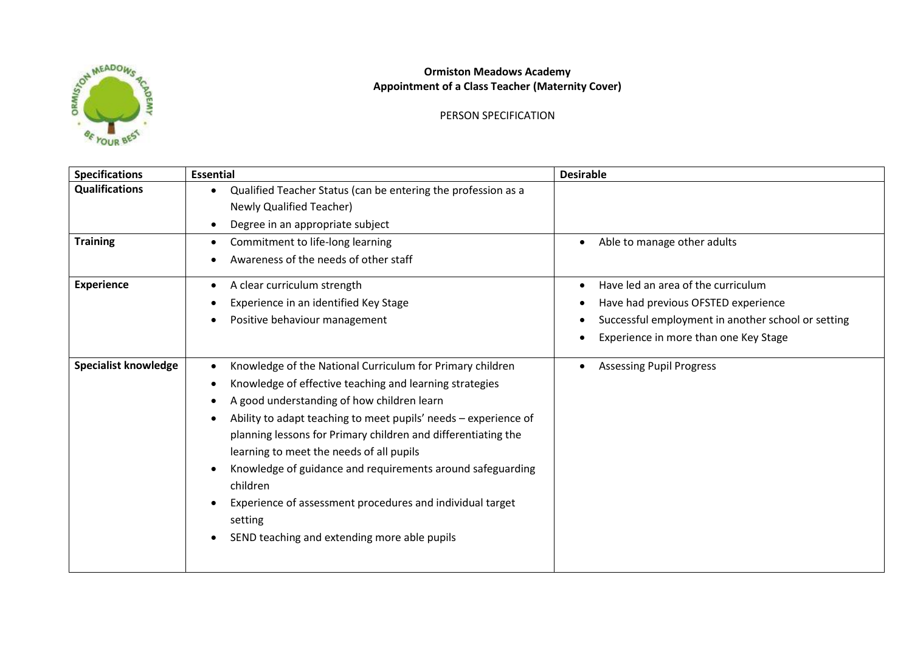

## **Ormiston Meadows Academy Appointment of a Class Teacher (Maternity Cover)**

PERSON SPECIFICATION

| <b>Specifications</b>       | <b>Essential</b>                                                                                                                                                                                                                                                                                                                                                                                                                                                                                                                                                                            | <b>Desirable</b>                                   |
|-----------------------------|---------------------------------------------------------------------------------------------------------------------------------------------------------------------------------------------------------------------------------------------------------------------------------------------------------------------------------------------------------------------------------------------------------------------------------------------------------------------------------------------------------------------------------------------------------------------------------------------|----------------------------------------------------|
| <b>Qualifications</b>       | Qualified Teacher Status (can be entering the profession as a                                                                                                                                                                                                                                                                                                                                                                                                                                                                                                                               |                                                    |
|                             | <b>Newly Qualified Teacher)</b>                                                                                                                                                                                                                                                                                                                                                                                                                                                                                                                                                             |                                                    |
|                             | Degree in an appropriate subject                                                                                                                                                                                                                                                                                                                                                                                                                                                                                                                                                            |                                                    |
| <b>Training</b>             | Commitment to life-long learning<br>$\bullet$                                                                                                                                                                                                                                                                                                                                                                                                                                                                                                                                               | Able to manage other adults<br>$\bullet$           |
|                             | Awareness of the needs of other staff                                                                                                                                                                                                                                                                                                                                                                                                                                                                                                                                                       |                                                    |
| <b>Experience</b>           | A clear curriculum strength<br>$\bullet$                                                                                                                                                                                                                                                                                                                                                                                                                                                                                                                                                    | Have led an area of the curriculum                 |
|                             | Experience in an identified Key Stage                                                                                                                                                                                                                                                                                                                                                                                                                                                                                                                                                       | Have had previous OFSTED experience                |
|                             | Positive behaviour management<br>$\bullet$                                                                                                                                                                                                                                                                                                                                                                                                                                                                                                                                                  | Successful employment in another school or setting |
|                             |                                                                                                                                                                                                                                                                                                                                                                                                                                                                                                                                                                                             | Experience in more than one Key Stage              |
| <b>Specialist knowledge</b> | Knowledge of the National Curriculum for Primary children<br>Knowledge of effective teaching and learning strategies<br>$\bullet$<br>A good understanding of how children learn<br>$\bullet$<br>Ability to adapt teaching to meet pupils' needs - experience of<br>$\bullet$<br>planning lessons for Primary children and differentiating the<br>learning to meet the needs of all pupils<br>Knowledge of guidance and requirements around safeguarding<br>children<br>Experience of assessment procedures and individual target<br>setting<br>SEND teaching and extending more able pupils | <b>Assessing Pupil Progress</b>                    |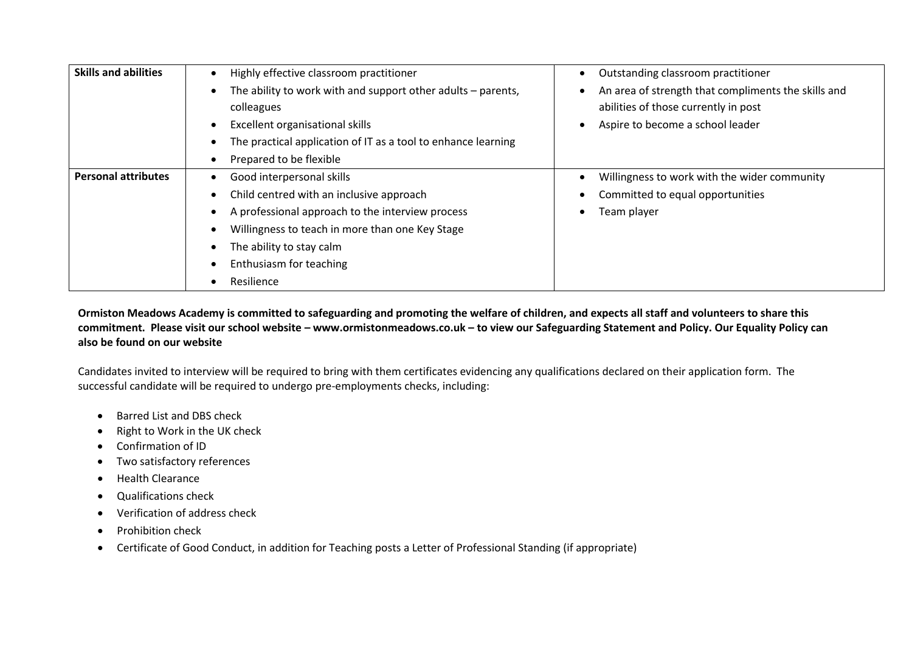| <b>Skills and abilities</b> | Highly effective classroom practitioner                        | Outstanding classroom practitioner                  |
|-----------------------------|----------------------------------------------------------------|-----------------------------------------------------|
|                             | The ability to work with and support other adults $-$ parents, | An area of strength that compliments the skills and |
|                             | colleagues                                                     | abilities of those currently in post                |
|                             | Excellent organisational skills                                | Aspire to become a school leader                    |
|                             | The practical application of IT as a tool to enhance learning  |                                                     |
|                             | Prepared to be flexible                                        |                                                     |
| <b>Personal attributes</b>  | Good interpersonal skills                                      | Willingness to work with the wider community        |
|                             | Child centred with an inclusive approach                       | Committed to equal opportunities                    |
|                             | A professional approach to the interview process               | Team player                                         |
|                             | Willingness to teach in more than one Key Stage                |                                                     |
|                             | The ability to stay calm                                       |                                                     |
|                             | Enthusiasm for teaching                                        |                                                     |
|                             | Resilience                                                     |                                                     |

**Ormiston Meadows Academy is committed to safeguarding and promoting the welfare of children, and expects all staff and volunteers to share this commitment. Please visit our school website – www.ormistonmeadows.co.uk – to view our Safeguarding Statement and Policy. Our Equality Policy can also be found on our website**

Candidates invited to interview will be required to bring with them certificates evidencing any qualifications declared on their application form. The successful candidate will be required to undergo pre-employments checks, including:

- Barred List and DBS check
- Right to Work in the UK check
- Confirmation of ID
- Two satisfactory references
- Health Clearance
- Qualifications check
- Verification of address check
- Prohibition check
- Certificate of Good Conduct, in addition for Teaching posts a Letter of Professional Standing (if appropriate)